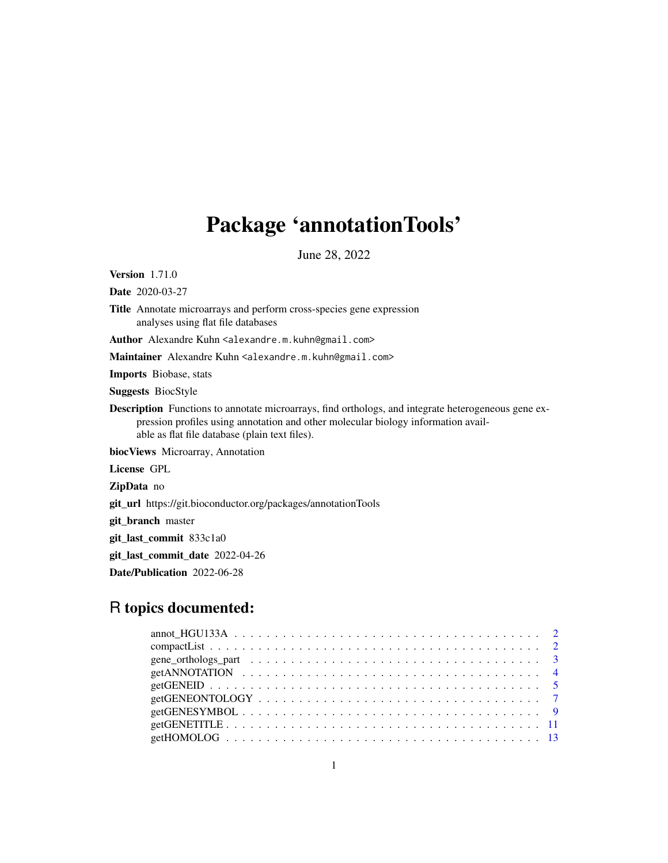# Package 'annotationTools'

June 28, 2022

Version 1.71.0

Date 2020-03-27

Title Annotate microarrays and perform cross-species gene expression analyses using flat file databases

Author Alexandre Kuhn <alexandre.m.kuhn@gmail.com>

Maintainer Alexandre Kuhn <alexandre.m.kuhn@gmail.com>

Imports Biobase, stats

Suggests BiocStyle

Description Functions to annotate microarrays, find orthologs, and integrate heterogeneous gene expression profiles using annotation and other molecular biology information available as flat file database (plain text files).

biocViews Microarray, Annotation

License GPL

ZipData no

git\_url https://git.bioconductor.org/packages/annotationTools

git\_branch master

git\_last\_commit 833c1a0

git\_last\_commit\_date 2022-04-26

Date/Publication 2022-06-28

# R topics documented: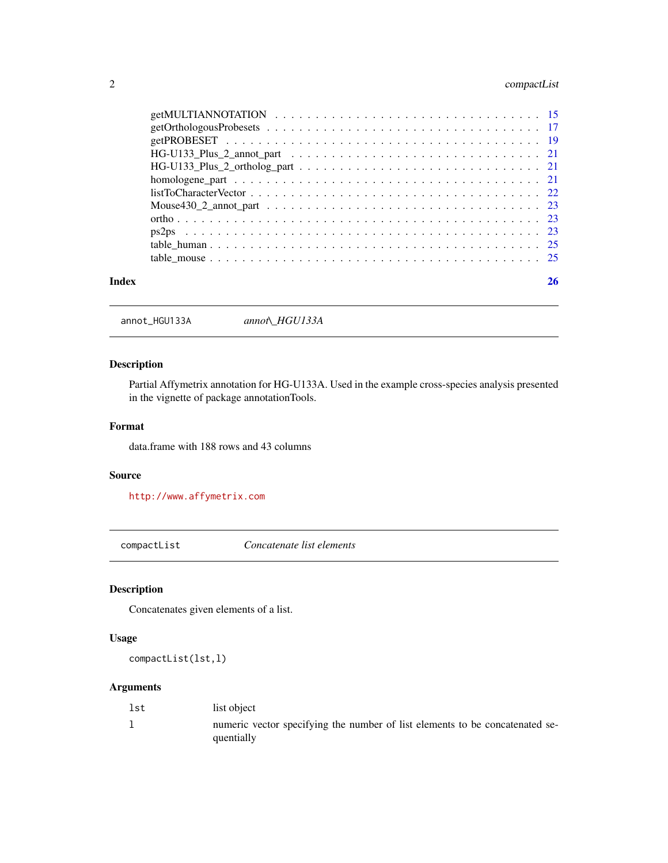# <span id="page-1-0"></span>2 compactList

| Index |                                                                                                                |  |
|-------|----------------------------------------------------------------------------------------------------------------|--|
|       |                                                                                                                |  |
|       |                                                                                                                |  |
|       |                                                                                                                |  |
|       |                                                                                                                |  |
|       |                                                                                                                |  |
|       | $listToCharacterVector \ldots \ldots \ldots \ldots \ldots \ldots \ldots \ldots \ldots \ldots \ldots \ldots 22$ |  |
|       |                                                                                                                |  |
|       | $HG-U133_Plus_2_ortholog_part \ldots \ldots \ldots \ldots \ldots \ldots \ldots \ldots \ldots 21$               |  |
|       |                                                                                                                |  |
|       |                                                                                                                |  |
|       |                                                                                                                |  |
|       |                                                                                                                |  |

annot\_HGU133A *annot\\_HGU133A*

# Description

Partial Affymetrix annotation for HG-U133A. Used in the example cross-species analysis presented in the vignette of package annotationTools.

# Format

data.frame with 188 rows and 43 columns

# Source

<http://www.affymetrix.com>

compactList *Concatenate list elements*

# Description

Concatenates given elements of a list.

# Usage

compactList(lst,l)

# Arguments

| lst | list object                                                                                |
|-----|--------------------------------------------------------------------------------------------|
|     | numeric vector specifying the number of list elements to be concatenated se-<br>quentially |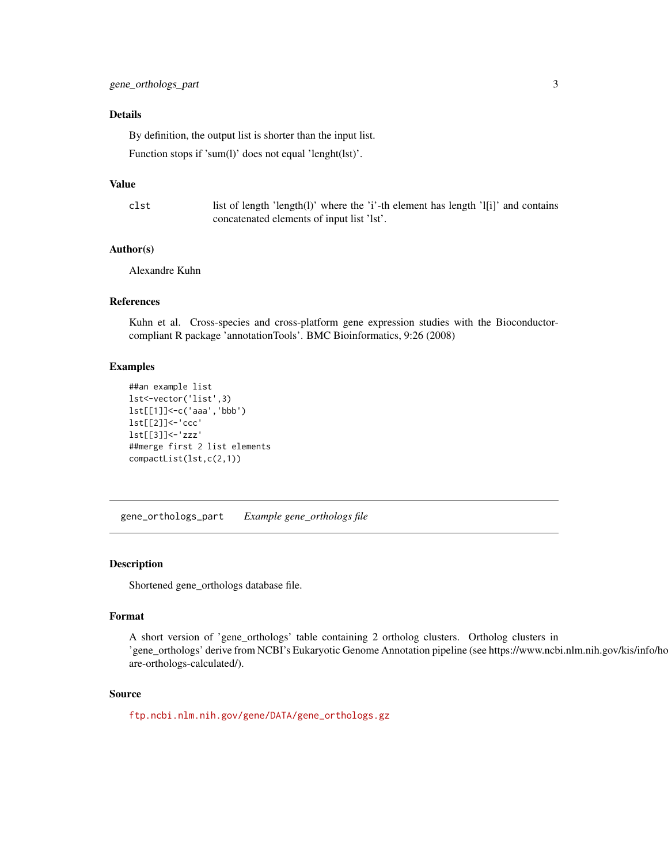# <span id="page-2-0"></span>Details

By definition, the output list is shorter than the input list.

Function stops if 'sum(l)' does not equal 'lenght(lst)'.

#### Value

clst list of length 'length(l)' where the 'i'-th element has length 'l[i]' and contains concatenated elements of input list 'lst'.

# Author(s)

Alexandre Kuhn

# References

Kuhn et al. Cross-species and cross-platform gene expression studies with the Bioconductorcompliant R package 'annotationTools'. BMC Bioinformatics, 9:26 (2008)

# Examples

```
##an example list
lst<-vector('list',3)
lst[[1]]<-c('aaa','bbb')
lst[[2]]<-'ccc'
lst[[3]]<-'zzz'
##merge first 2 list elements
compactList(lst,c(2,1))
```
gene\_orthologs\_part *Example gene\_orthologs file*

# Description

Shortened gene\_orthologs database file.

### Format

A short version of 'gene\_orthologs' table containing 2 ortholog clusters. Ortholog clusters in 'gene\_orthologs' derive from NCBI's Eukaryotic Genome Annotation pipeline (see https://www.ncbi.nlm.nih.gov/kis/info/ho are-orthologs-calculated/).

# Source

[ftp.ncbi.nlm.nih.gov/gene/DATA/gene\\_orthologs.gz](ftp.ncbi.nlm.nih.gov/gene/DATA/gene_orthologs.gz)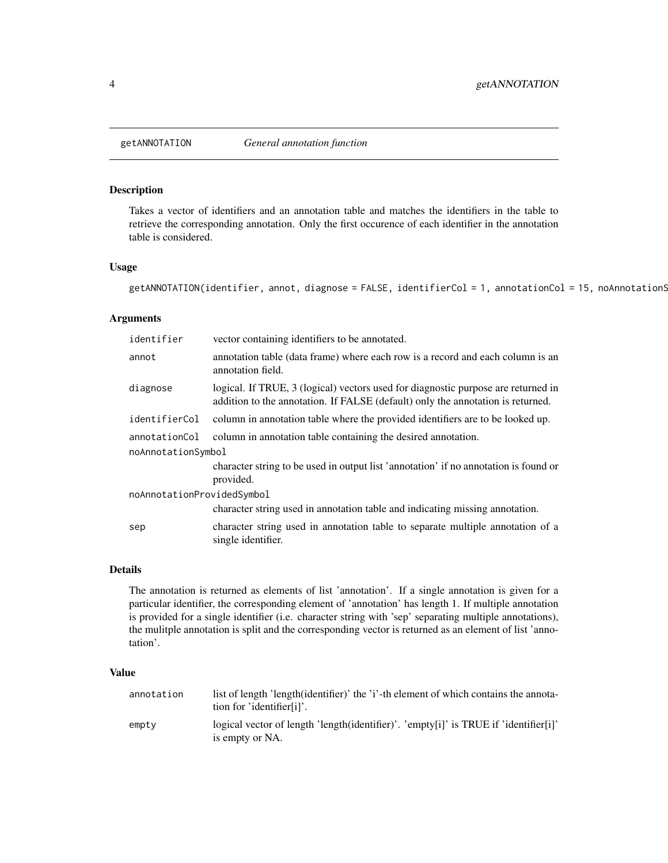<span id="page-3-1"></span><span id="page-3-0"></span>

# Description

Takes a vector of identifiers and an annotation table and matches the identifiers in the table to retrieve the corresponding annotation. Only the first occurence of each identifier in the annotation table is considered.

# Usage

```
getANNOTATION(identifier, annot, diagnose = FALSE, identifierCol = 1, annotationCol = 15, noAnnotationS
```
# Arguments

| identifier                 | vector containing identifiers to be annotated.                                                                                                                       |  |
|----------------------------|----------------------------------------------------------------------------------------------------------------------------------------------------------------------|--|
| annot                      | annotation table (data frame) where each row is a record and each column is an<br>annotation field.                                                                  |  |
| diagnose                   | logical. If TRUE, 3 (logical) vectors used for diagnostic purpose are returned in<br>addition to the annotation. If FALSE (default) only the annotation is returned. |  |
| identifierCol              | column in annotation table where the provided identifiers are to be looked up.                                                                                       |  |
| annotationCol              | column in annotation table containing the desired annotation.                                                                                                        |  |
| noAnnotationSymbol         |                                                                                                                                                                      |  |
|                            | character string to be used in output list 'annotation' if no annotation is found or<br>provided.                                                                    |  |
| noAnnotationProvidedSymbol |                                                                                                                                                                      |  |
|                            | character string used in annotation table and indicating missing annotation.                                                                                         |  |
| sep                        | character string used in annotation table to separate multiple annotation of a<br>single identifier.                                                                 |  |

# Details

The annotation is returned as elements of list 'annotation'. If a single annotation is given for a particular identifier, the corresponding element of 'annotation' has length 1. If multiple annotation is provided for a single identifier (i.e. character string with 'sep' separating multiple annotations), the mulitple annotation is split and the corresponding vector is returned as an element of list 'annotation'.

#### Value

| annotation | list of length 'length(identifier)' the 'i'-th element of which contains the annota-<br>tion for 'identifier[i]'. |
|------------|-------------------------------------------------------------------------------------------------------------------|
| empty      | logical vector of length 'length(identifier)'. 'empty[i]' is TRUE if 'identifier[i]'<br>is empty or NA.           |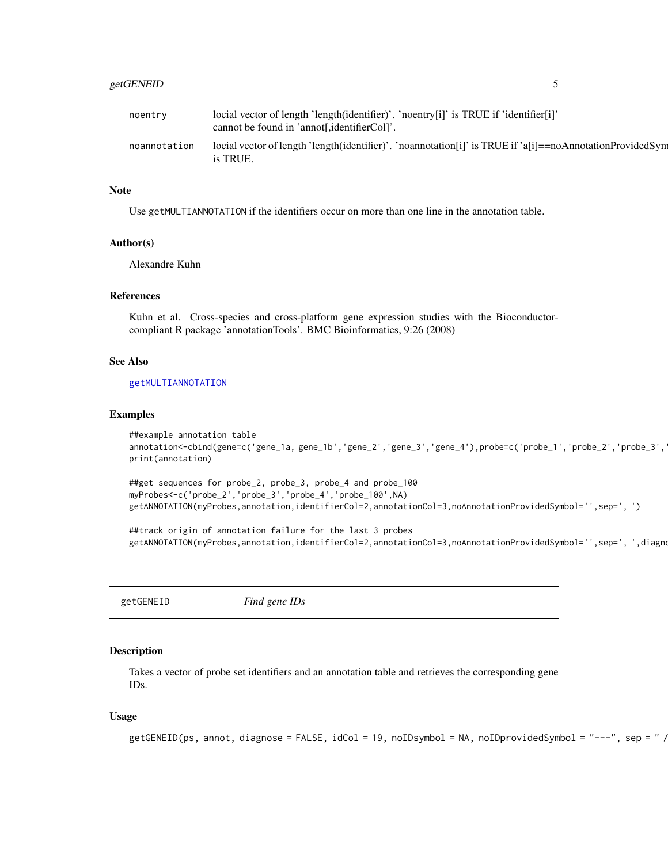# <span id="page-4-0"></span>getGENEID 5

| noentry      | locial vector of length 'length(identifier)'. 'noentry[i]' is TRUE if 'identifier[i]'<br>cannot be found in 'annot[, identifierCol]'. |
|--------------|---------------------------------------------------------------------------------------------------------------------------------------|
| noannotation | locial vector of length 'length(identifier)'. 'noannotation[i]' is TRUE if 'a[i]==noAnnotationProvidedSym<br>is TRUE.                 |

# **Note**

Use getMULTIANNOTATION if the identifiers occur on more than one line in the annotation table.

#### Author(s)

Alexandre Kuhn

# References

Kuhn et al. Cross-species and cross-platform gene expression studies with the Bioconductorcompliant R package 'annotationTools'. BMC Bioinformatics, 9:26 (2008)

# See Also

#### [getMULTIANNOTATION](#page-14-1)

### Examples

```
##example annotation table
annotation<-cbind(gene=c('gene_1a, gene_1b','gene_2','gene_3','gene_4'),probe=c('probe_1','probe_2','probe_3',
print(annotation)
```

```
##get sequences for probe_2, probe_3, probe_4 and probe_100
myProbes<-c('probe_2','probe_3','probe_4','probe_100',NA)
getANNOTATION(myProbes,annotation,identifierCol=2,annotationCol=3,noAnnotationProvidedSymbol='',sep=', ')
```
##track origin of annotation failure for the last 3 probes getANNOTATION(myProbes,annotation,identifierCol=2,annotationCol=3,noAnnotationProvidedSymbol='',sep=', ',diagno

getGENEID *Find gene IDs*

# Description

Takes a vector of probe set identifiers and an annotation table and retrieves the corresponding gene IDs.

# Usage

```
getGENEID(ps, annot, diagnose = FALSE, idCol = 19, noIDsymbol = NA, noIDprovidedSymbol = "---", sep = " /// ")
```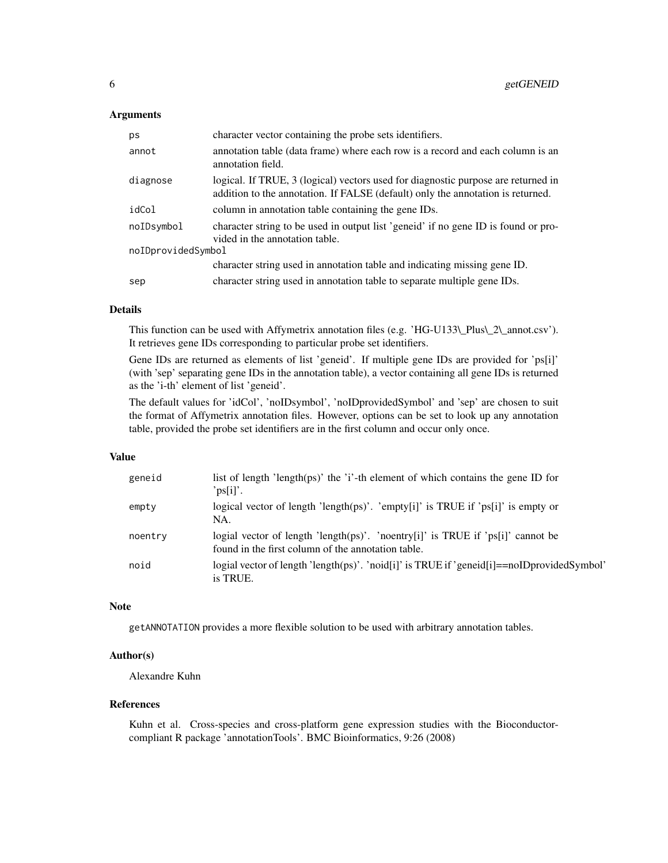# **Arguments**

| ps                 | character vector containing the probe sets identifiers.                                                                                                              |  |
|--------------------|----------------------------------------------------------------------------------------------------------------------------------------------------------------------|--|
| annot              | annotation table (data frame) where each row is a record and each column is an<br>annotation field.                                                                  |  |
| diagnose           | logical. If TRUE, 3 (logical) vectors used for diagnostic purpose are returned in<br>addition to the annotation. If FALSE (default) only the annotation is returned. |  |
| idCol              | column in annotation table containing the gene IDs.                                                                                                                  |  |
| noIDsymbol         | character string to be used in output list 'generia' if no gene ID is found or pro-<br>vided in the annotation table.                                                |  |
| noIDprovidedSymbol |                                                                                                                                                                      |  |
|                    | character string used in annotation table and indicating missing gene ID.                                                                                            |  |
| sep                | character string used in annotation table to separate multiple gene IDs.                                                                                             |  |

# Details

This function can be used with Affymetrix annotation files (e.g. 'HG-U133\\_Plus\\_2\\_annot.csv'). It retrieves gene IDs corresponding to particular probe set identifiers.

Gene IDs are returned as elements of list 'geneid'. If multiple gene IDs are provided for 'ps[i]' (with 'sep' separating gene IDs in the annotation table), a vector containing all gene IDs is returned as the 'i-th' element of list 'geneid'.

The default values for 'idCol', 'noIDsymbol', 'noIDprovidedSymbol' and 'sep' are chosen to suit the format of Affymetrix annotation files. However, options can be set to look up any annotation table, provided the probe set identifiers are in the first column and occur only once.

# Value

| geneid  | list of length 'length(ps)' the 'i'-th element of which contains the gene ID for<br>$"ps[i]'$ .                                       |
|---------|---------------------------------------------------------------------------------------------------------------------------------------|
| empty   | logical vector of length 'length(ps)'. 'empty[i]' is TRUE if 'ps[i]' is empty or<br>NA.                                               |
| noentry | logial vector of length 'length(ps)'. 'noentry[i]' is TRUE if 'ps[i]' cannot be<br>found in the first column of the annotation table. |
| noid    | logial vector of length 'length(ps)'. 'noid[i]' is TRUE if 'geneid[i]==noIDprovidedSymbol'<br>is TRUE.                                |

#### Note

getANNOTATION provides a more flexible solution to be used with arbitrary annotation tables.

# Author(s)

Alexandre Kuhn

# References

Kuhn et al. Cross-species and cross-platform gene expression studies with the Bioconductorcompliant R package 'annotationTools'. BMC Bioinformatics, 9:26 (2008)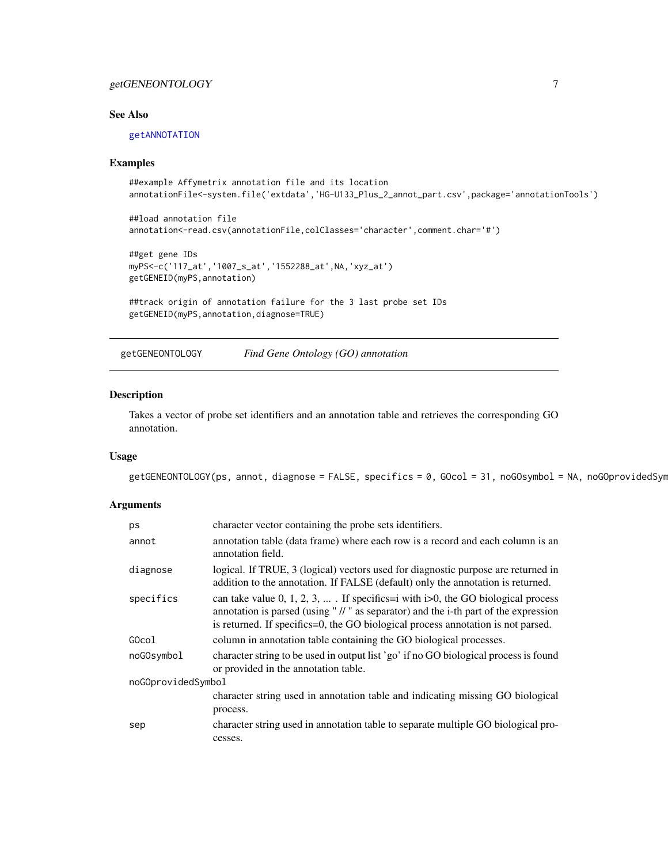# <span id="page-6-0"></span>getGENEONTOLOGY 7

# See Also

# [getANNOTATION](#page-3-1)

#### Examples

```
##example Affymetrix annotation file and its location
annotationFile<-system.file('extdata','HG-U133_Plus_2_annot_part.csv',package='annotationTools')
##load annotation file
```

```
annotation<-read.csv(annotationFile,colClasses='character',comment.char='#')
```

```
##get gene IDs
myPS<-c('117_at','1007_s_at','1552288_at',NA,'xyz_at')
getGENEID(myPS,annotation)
```

```
##track origin of annotation failure for the 3 last probe set IDs
getGENEID(myPS,annotation,diagnose=TRUE)
```
getGENEONTOLOGY *Find Gene Ontology (GO) annotation*

# Description

Takes a vector of probe set identifiers and an annotation table and retrieves the corresponding GO annotation.

# Usage

```
getGENEONTOLOGY(ps, annot, diagnose = FALSE, specifics = 0, GOcol = 31, noGOsymbol = NA, noGOprovidedSyn
```
# Arguments

| ps                 | character vector containing the probe sets identifiers.                                                                                                                                                                                                       |  |
|--------------------|---------------------------------------------------------------------------------------------------------------------------------------------------------------------------------------------------------------------------------------------------------------|--|
| annot              | annotation table (data frame) where each row is a record and each column is an<br>annotation field.                                                                                                                                                           |  |
| diagnose           | logical. If TRUE, 3 (logical) vectors used for diagnostic purpose are returned in<br>addition to the annotation. If FALSE (default) only the annotation is returned.                                                                                          |  |
| specifics          | can take value 0, 1, 2, 3,  If specifics=i with $i>0$ , the GO biological process<br>annotation is parsed (using " // " as separator) and the i-th part of the expression<br>is returned. If specifics=0, the GO biological process annotation is not parsed. |  |
| GOcol              | column in annotation table containing the GO biological processes.                                                                                                                                                                                            |  |
| noGOsymbol         | character string to be used in output list 'go' if no GO biological process is found<br>or provided in the annotation table.                                                                                                                                  |  |
| noGOprovidedSymbol |                                                                                                                                                                                                                                                               |  |
|                    | character string used in annotation table and indicating missing GO biological                                                                                                                                                                                |  |
|                    | process.                                                                                                                                                                                                                                                      |  |
| sep                | character string used in annotation table to separate multiple GO biological pro-<br>cesses.                                                                                                                                                                  |  |
|                    |                                                                                                                                                                                                                                                               |  |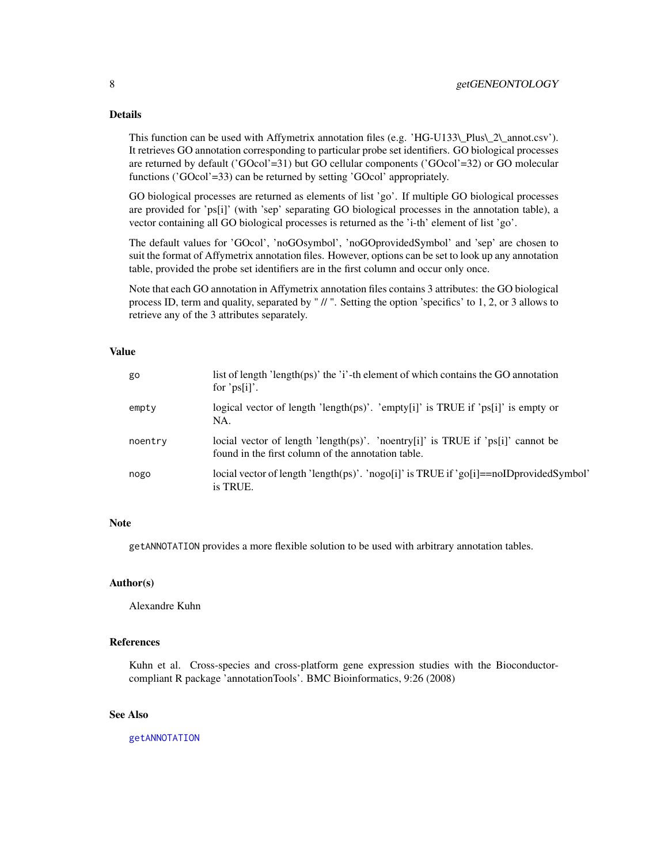# Details

This function can be used with Affymetrix annotation files (e.g. 'HG-U133\\_Plus\\_2\\_annot.csv'). It retrieves GO annotation corresponding to particular probe set identifiers. GO biological processes are returned by default ('GOcol'=31) but GO cellular components ('GOcol'=32) or GO molecular functions ('GOcol'=33) can be returned by setting 'GOcol' appropriately.

GO biological processes are returned as elements of list 'go'. If multiple GO biological processes are provided for 'ps[i]' (with 'sep' separating GO biological processes in the annotation table), a vector containing all GO biological processes is returned as the 'i-th' element of list 'go'.

The default values for 'GOcol', 'noGOsymbol', 'noGOprovidedSymbol' and 'sep' are chosen to suit the format of Affymetrix annotation files. However, options can be set to look up any annotation table, provided the probe set identifiers are in the first column and occur only once.

Note that each GO annotation in Affymetrix annotation files contains 3 attributes: the GO biological process ID, term and quality, separated by " // ". Setting the option 'specifics' to 1, 2, or 3 allows to retrieve any of the 3 attributes separately.

# Value

| go      | list of length 'length(ps)' the 'i'-th element of which contains the GO annotation<br>for ' $ps[i]'$ .                                |
|---------|---------------------------------------------------------------------------------------------------------------------------------------|
| empty   | logical vector of length 'length(ps)'. 'empty[i]' is TRUE if 'ps[i]' is empty or<br>NA.                                               |
| noentry | locial vector of length 'length(ps)'. 'noentry[i]' is TRUE if 'ps[i]' cannot be<br>found in the first column of the annotation table. |
| nogo    | locial vector of length 'length(ps)'. 'nogo[i]' is TRUE if 'go[i]==noIDprovidedSymbol'<br>is TRUE.                                    |

# Note

getANNOTATION provides a more flexible solution to be used with arbitrary annotation tables.

# Author(s)

Alexandre Kuhn

# References

Kuhn et al. Cross-species and cross-platform gene expression studies with the Bioconductorcompliant R package 'annotationTools'. BMC Bioinformatics, 9:26 (2008)

# See Also

[getANNOTATION](#page-3-1)

<span id="page-7-0"></span>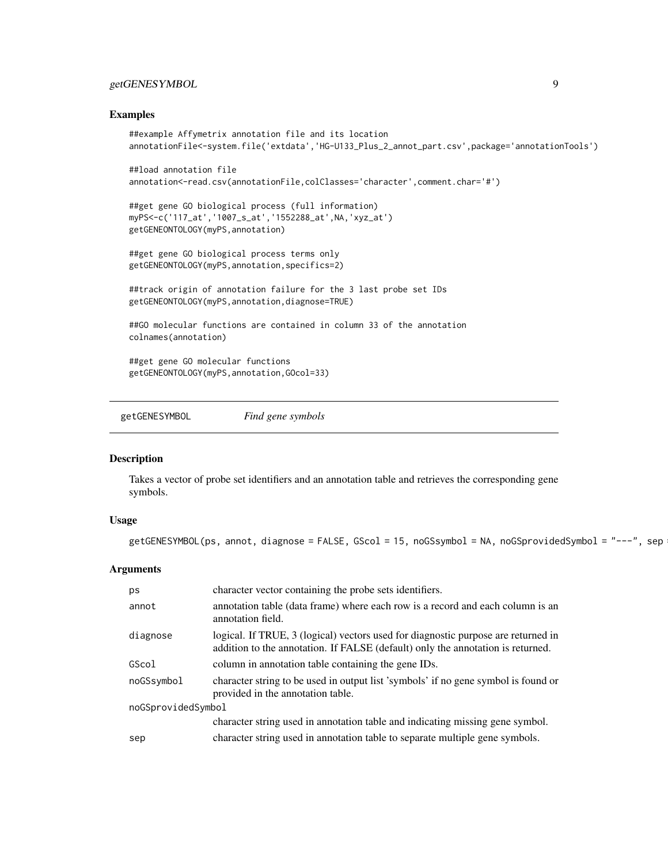# <span id="page-8-0"></span>getGENESYMBOL 9

#### Examples

```
##example Affymetrix annotation file and its location
annotationFile<-system.file('extdata','HG-U133_Plus_2_annot_part.csv',package='annotationTools')
##load annotation file
annotation<-read.csv(annotationFile,colClasses='character',comment.char='#')
##get gene GO biological process (full information)
myPS<-c('117_at','1007_s_at','1552288_at',NA,'xyz_at')
getGENEONTOLOGY(myPS,annotation)
##get gene GO biological process terms only
getGENEONTOLOGY(myPS,annotation,specifics=2)
##track origin of annotation failure for the 3 last probe set IDs
getGENEONTOLOGY(myPS,annotation,diagnose=TRUE)
##GO molecular functions are contained in column 33 of the annotation
colnames(annotation)
##get gene GO molecular functions
getGENEONTOLOGY(myPS,annotation,GOcol=33)
```
getGENESYMBOL *Find gene symbols*

# Description

Takes a vector of probe set identifiers and an annotation table and retrieves the corresponding gene symbols.

#### Usage

 $getGENESYMBOL(ps, annot, diagnose = FALSE, GScol = 15, noGSymbol = NA, noGSprovidedSymbol = "---", sep$ 

#### Arguments

| ps                 | character vector containing the probe sets identifiers.                                                                                                              |  |
|--------------------|----------------------------------------------------------------------------------------------------------------------------------------------------------------------|--|
| annot              | annotation table (data frame) where each row is a record and each column is an<br>annotation field.                                                                  |  |
| diagnose           | logical. If TRUE, 3 (logical) vectors used for diagnostic purpose are returned in<br>addition to the annotation. If FALSE (default) only the annotation is returned. |  |
| GScol              | column in annotation table containing the gene IDs.                                                                                                                  |  |
| noGSsymbol         | character string to be used in output list 'symbols' if no gene symbol is found or<br>provided in the annotation table.                                              |  |
| noGSprovidedSymbol |                                                                                                                                                                      |  |
|                    | character string used in annotation table and indicating missing gene symbol.                                                                                        |  |
| sep                | character string used in annotation table to separate multiple gene symbols.                                                                                         |  |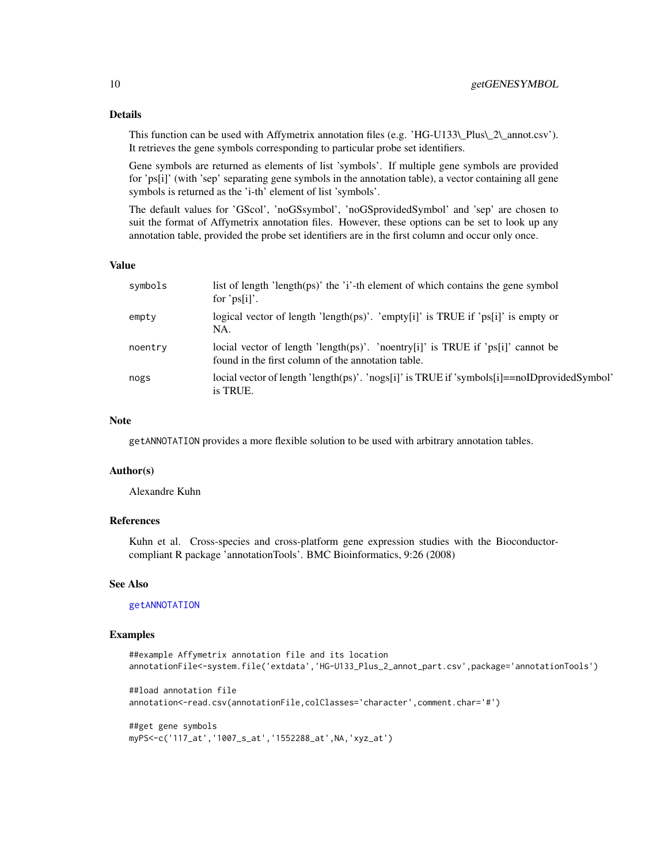# Details

This function can be used with Affymetrix annotation files (e.g. 'HG-U133\\_Plus\\_2\\_annot.csv'). It retrieves the gene symbols corresponding to particular probe set identifiers.

Gene symbols are returned as elements of list 'symbols'. If multiple gene symbols are provided for 'ps[i]' (with 'sep' separating gene symbols in the annotation table), a vector containing all gene symbols is returned as the 'i-th' element of list 'symbols'.

The default values for 'GScol', 'noGSsymbol', 'noGSprovidedSymbol' and 'sep' are chosen to suit the format of Affymetrix annotation files. However, these options can be set to look up any annotation table, provided the probe set identifiers are in the first column and occur only once.

# Value

| symbols | list of length 'length(ps)' the 'i'-th element of which contains the gene symbol<br>for ' $ps[i]'$ .                                  |
|---------|---------------------------------------------------------------------------------------------------------------------------------------|
| empty   | logical vector of length 'length(ps)'. 'empty[i]' is TRUE if 'ps[i]' is empty or<br>NA.                                               |
| noentry | locial vector of length 'length(ps)'. 'noentry[i]' is TRUE if 'ps[i]' cannot be<br>found in the first column of the annotation table. |
| nogs    | locial vector of length 'length(ps)'. 'nogs[i]' is TRUE if 'symbols[i]= $=$ noIDprovidedSymbol'<br>is TRUE.                           |

# Note

getANNOTATION provides a more flexible solution to be used with arbitrary annotation tables.

# Author(s)

Alexandre Kuhn

# References

Kuhn et al. Cross-species and cross-platform gene expression studies with the Bioconductorcompliant R package 'annotationTools'. BMC Bioinformatics, 9:26 (2008)

#### See Also

# [getANNOTATION](#page-3-1)

# Examples

```
##example Affymetrix annotation file and its location
annotationFile<-system.file('extdata','HG-U133_Plus_2_annot_part.csv',package='annotationTools')
##load annotation file
annotation<-read.csv(annotationFile,colClasses='character',comment.char='#')
##get gene symbols
myPS<-c('117_at','1007_s_at','1552288_at',NA,'xyz_at')
```
<span id="page-9-0"></span>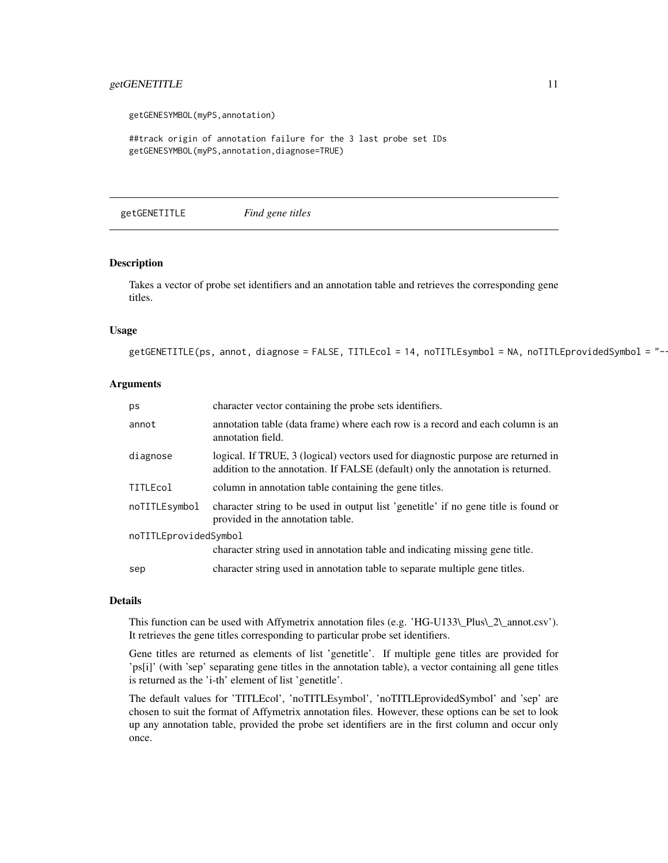# <span id="page-10-0"></span>getGENETITLE 11

getGENESYMBOL(myPS,annotation)

##track origin of annotation failure for the 3 last probe set IDs getGENESYMBOL(myPS,annotation,diagnose=TRUE)

getGENETITLE *Find gene titles*

# Description

Takes a vector of probe set identifiers and an annotation table and retrieves the corresponding gene titles.

#### Usage

 $getGENETITLE(ps, annot, diagnose = FALSE, TITLEcol = 14, noTITLEsymbol = NA, noTITLEprovidedSymbol = "-  
14$ 

# Arguments

| ps                    | character vector containing the probe sets identifiers.                                                                                                              |  |
|-----------------------|----------------------------------------------------------------------------------------------------------------------------------------------------------------------|--|
| annot                 | annotation table (data frame) where each row is a record and each column is an<br>annotation field.                                                                  |  |
| diagnose              | logical. If TRUE, 3 (logical) vectors used for diagnostic purpose are returned in<br>addition to the annotation. If FALSE (default) only the annotation is returned. |  |
| TITLEcol              | column in annotation table containing the gene titles.                                                                                                               |  |
| noTITLEsymbol         | character string to be used in output list 'genetitle' if no gene title is found or<br>provided in the annotation table.                                             |  |
| noTITLEprovidedSymbol |                                                                                                                                                                      |  |
|                       | character string used in annotation table and indicating missing gene title.                                                                                         |  |
| sep                   | character string used in annotation table to separate multiple gene titles.                                                                                          |  |

# Details

This function can be used with Affymetrix annotation files (e.g. 'HG-U133\\_Plus\\_2\\_annot.csv'). It retrieves the gene titles corresponding to particular probe set identifiers.

Gene titles are returned as elements of list 'genetitle'. If multiple gene titles are provided for 'ps[i]' (with 'sep' separating gene titles in the annotation table), a vector containing all gene titles is returned as the 'i-th' element of list 'genetitle'.

The default values for 'TITLEcol', 'noTITLEsymbol', 'noTITLEprovidedSymbol' and 'sep' are chosen to suit the format of Affymetrix annotation files. However, these options can be set to look up any annotation table, provided the probe set identifiers are in the first column and occur only once.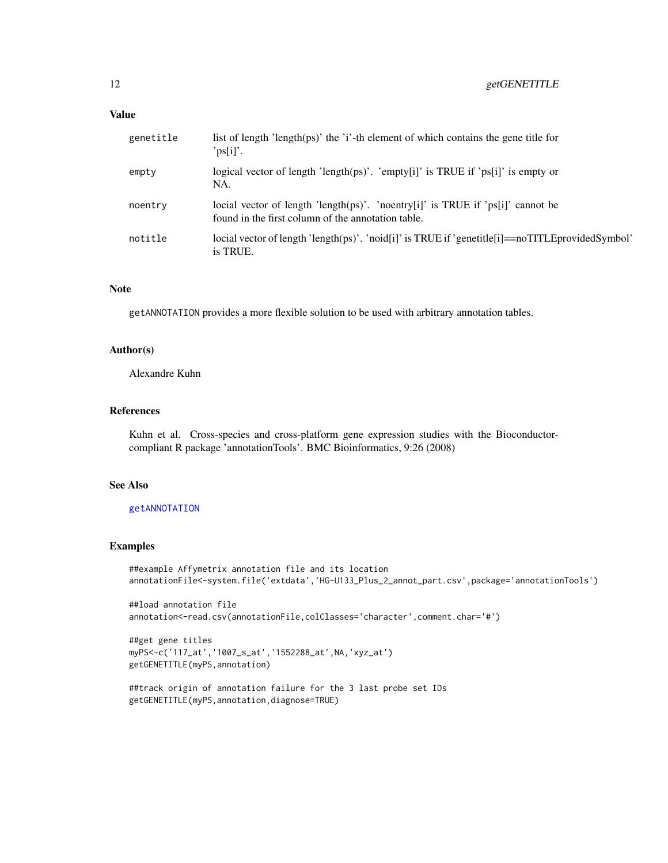#### <span id="page-11-0"></span>Value

| genetitle | list of length 'length $(\text{ps})$ ' the 'i'-th element of which contains the gene title for<br>'ps[i]'.                            |
|-----------|---------------------------------------------------------------------------------------------------------------------------------------|
| empty     | logical vector of length 'length(ps)'. 'empty[i]' is TRUE if 'ps[i]' is empty or<br>NA.                                               |
| noentry   | locial vector of length 'length(ps)'. 'noentry[i]' is TRUE if 'ps[i]' cannot be<br>found in the first column of the annotation table. |
| notitle   | locial vector of length 'length(ps)'. 'noid[i]' is TRUE if 'genetitle[i]==noTITLEprovidedSymbol'<br>is TRUE.                          |

# Note

getANNOTATION provides a more flexible solution to be used with arbitrary annotation tables.

#### Author(s)

Alexandre Kuhn

# References

Kuhn et al. Cross-species and cross-platform gene expression studies with the Bioconductorcompliant R package 'annotationTools'. BMC Bioinformatics, 9:26 (2008)

# See Also

### [getANNOTATION](#page-3-1)

# Examples

```
##example Affymetrix annotation file and its location
annotationFile<-system.file('extdata','HG-U133_Plus_2_annot_part.csv',package='annotationTools')
```

```
##load annotation file
annotation<-read.csv(annotationFile,colClasses='character',comment.char='#')
```

```
##get gene titles
myPS<-c('117_at','1007_s_at','1552288_at',NA,'xyz_at')
getGENETITLE(myPS,annotation)
```

```
##track origin of annotation failure for the 3 last probe set IDs
getGENETITLE(myPS,annotation,diagnose=TRUE)
```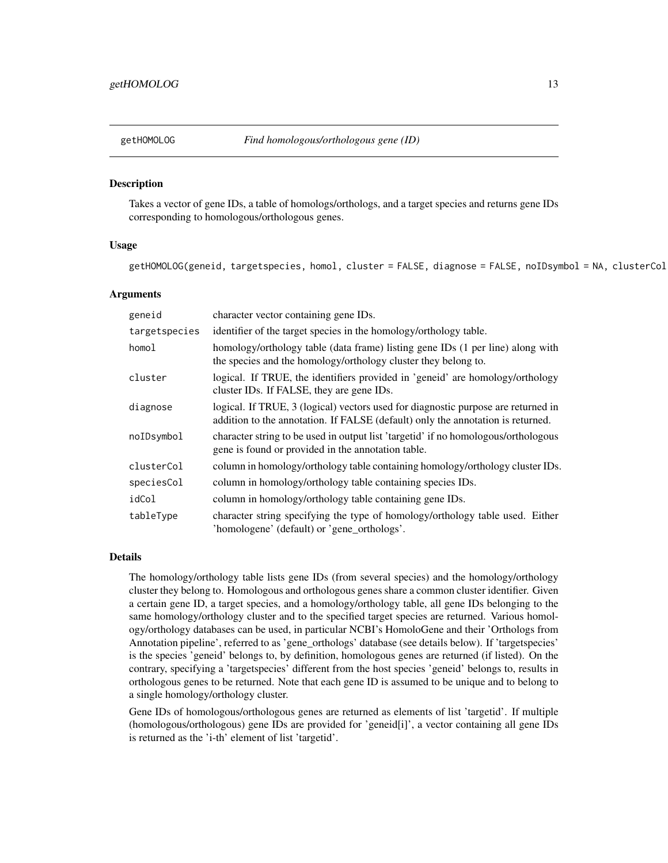<span id="page-12-0"></span>

#### Description

Takes a vector of gene IDs, a table of homologs/orthologs, and a target species and returns gene IDs corresponding to homologous/orthologous genes.

# Usage

```
getHOMOLOG(geneid, targetspecies, homol, cluster = FALSE, diagnose = FALSE, noIDsymbol = NA, clusterCol
```
# Arguments

| geneid        | character vector containing gene IDs.                                                                                                                                |
|---------------|----------------------------------------------------------------------------------------------------------------------------------------------------------------------|
| targetspecies | identifier of the target species in the homology/orthology table.                                                                                                    |
| homol         | homology/orthology table (data frame) listing gene IDs (1 per line) along with<br>the species and the homology/orthology cluster they belong to.                     |
| cluster       | logical. If TRUE, the identifiers provided in 'geneid' are homology/orthology<br>cluster IDs. If FALSE, they are gene IDs.                                           |
| diagnose      | logical. If TRUE, 3 (logical) vectors used for diagnostic purpose are returned in<br>addition to the annotation. If FALSE (default) only the annotation is returned. |
| noIDsymbol    | character string to be used in output list 'targetid' if no homologous/orthologous<br>gene is found or provided in the annotation table.                             |
| clusterCol    | column in homology/orthology table containing homology/orthology cluster IDs.                                                                                        |
| speciesCol    | column in homology/orthology table containing species IDs.                                                                                                           |
| idCol         | column in homology/orthology table containing gene IDs.                                                                                                              |
| tableType     | character string specifying the type of homology/orthology table used. Either<br>'homologene' (default) or 'gene_orthologs'.                                         |

# Details

The homology/orthology table lists gene IDs (from several species) and the homology/orthology cluster they belong to. Homologous and orthologous genes share a common cluster identifier. Given a certain gene ID, a target species, and a homology/orthology table, all gene IDs belonging to the same homology/orthology cluster and to the specified target species are returned. Various homology/orthology databases can be used, in particular NCBI's HomoloGene and their 'Orthologs from Annotation pipeline', referred to as 'gene\_orthologs' database (see details below). If 'targetspecies' is the species 'geneid' belongs to, by definition, homologous genes are returned (if listed). On the contrary, specifying a 'targetspecies' different from the host species 'geneid' belongs to, results in orthologous genes to be returned. Note that each gene ID is assumed to be unique and to belong to a single homology/orthology cluster.

Gene IDs of homologous/orthologous genes are returned as elements of list 'targetid'. If multiple (homologous/orthologous) gene IDs are provided for 'geneid[i]', a vector containing all gene IDs is returned as the 'i-th' element of list 'targetid'.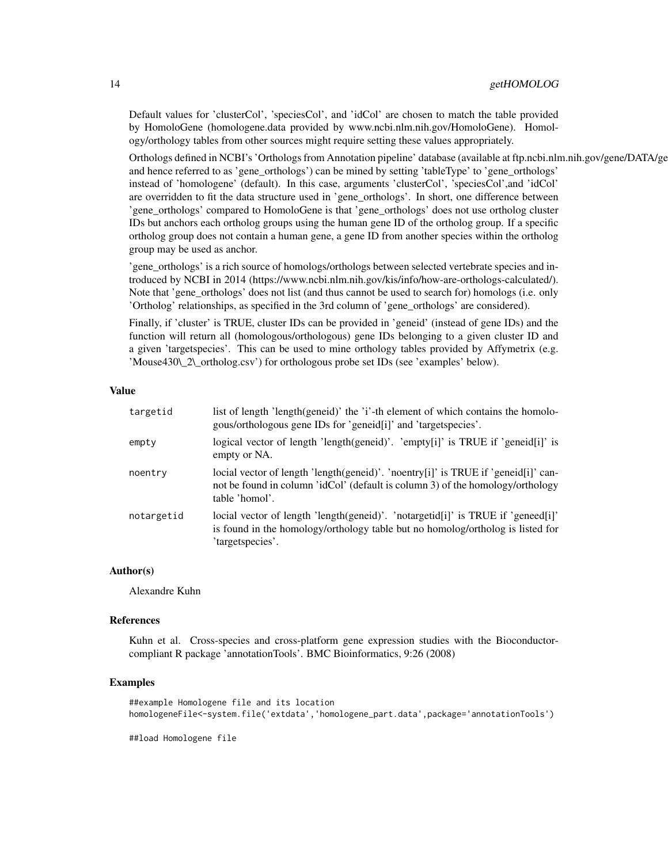Default values for 'clusterCol', 'speciesCol', and 'idCol' are chosen to match the table provided by HomoloGene (homologene.data provided by www.ncbi.nlm.nih.gov/HomoloGene). Homology/orthology tables from other sources might require setting these values appropriately.

Orthologs defined in NCBI's 'Orthologs from Annotation pipeline' database (available at ftp.ncbi.nlm.nih.gov/gene/DATA/ge and hence referred to as 'gene\_orthologs') can be mined by setting 'tableType' to 'gene\_orthologs' instead of 'homologene' (default). In this case, arguments 'clusterCol', 'speciesCol',and 'idCol' are overridden to fit the data structure used in 'gene\_orthologs'. In short, one difference between 'gene\_orthologs' compared to HomoloGene is that 'gene\_orthologs' does not use ortholog cluster IDs but anchors each ortholog groups using the human gene ID of the ortholog group. If a specific ortholog group does not contain a human gene, a gene ID from another species within the ortholog group may be used as anchor.

'gene\_orthologs' is a rich source of homologs/orthologs between selected vertebrate species and introduced by NCBI in 2014 (https://www.ncbi.nlm.nih.gov/kis/info/how-are-orthologs-calculated/). Note that 'gene\_orthologs' does not list (and thus cannot be used to search for) homologs (i.e. only 'Ortholog' relationships, as specified in the 3rd column of 'gene\_orthologs' are considered).

Finally, if 'cluster' is TRUE, cluster IDs can be provided in 'geneid' (instead of gene IDs) and the function will return all (homologous/orthologous) gene IDs belonging to a given cluster ID and a given 'targetspecies'. This can be used to mine orthology tables provided by Affymetrix (e.g. 'Mouse430\\_2\\_ortholog.csv') for orthologous probe set IDs (see 'examples' below).

# Value

| targetid   | list of length 'length(geneid)' the 'i'-th element of which contains the homolo-<br>gous/orthologous gene IDs for 'geneid[i]' and 'targetspecies'.                                     |
|------------|----------------------------------------------------------------------------------------------------------------------------------------------------------------------------------------|
| empty      | logical vector of length 'length(geneid)'. 'empty[i]' is TRUE if 'geneid[i]' is<br>empty or NA.                                                                                        |
| noentry    | locial vector of length 'length(geneid)'. 'noentry[i]' is TRUE if 'geneid[i]' can-<br>not be found in column 'idCol' (default is column 3) of the homology/orthology<br>table 'homol'. |
| notargetid | locial vector of length 'length(geneid)'. 'notargetid[i]' is TRUE if 'geneed[i]'<br>is found in the homology/orthology table but no homolog/ortholog is listed for<br>'targetspecies'. |

#### Author(s)

Alexandre Kuhn

#### References

Kuhn et al. Cross-species and cross-platform gene expression studies with the Bioconductorcompliant R package 'annotationTools'. BMC Bioinformatics, 9:26 (2008)

# Examples

```
##example Homologene file and its location
homologeneFile<-system.file('extdata','homologene_part.data',package='annotationTools')
```
##load Homologene file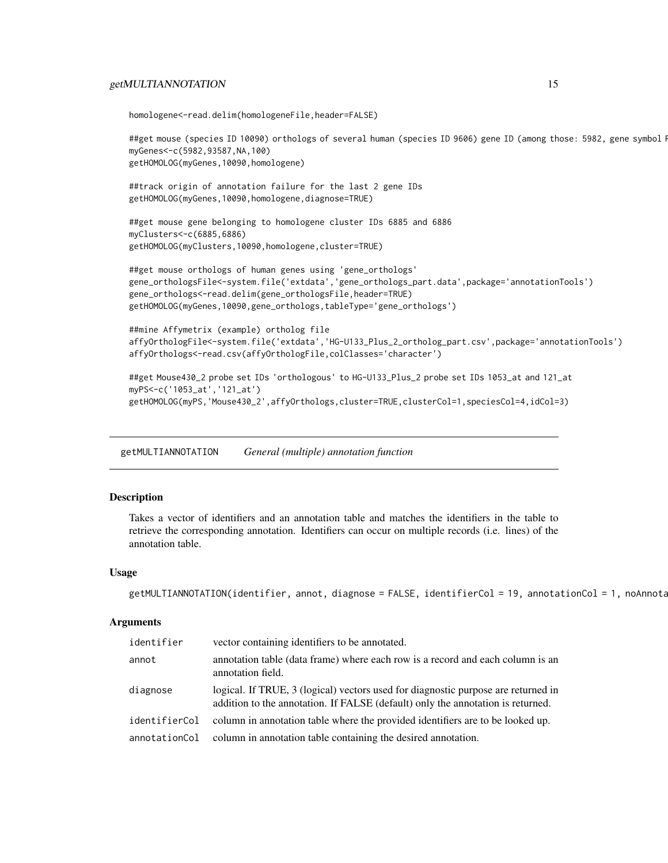# <span id="page-14-0"></span>getMULTIANNOTATION 15

```
homologene<-read.delim(homologeneFile,header=FALSE)
```

```
##get mouse (species ID 10090) orthologs of several human (species ID 9606) gene ID (among those: 5982, gene symbol!
myGenes<-c(5982,93587,NA,100)
getHOMOLOG(myGenes,10090,homologene)
```
##track origin of annotation failure for the last 2 gene IDs getHOMOLOG(myGenes,10090,homologene,diagnose=TRUE)

##get mouse gene belonging to homologene cluster IDs 6885 and 6886 myClusters<-c(6885,6886) getHOMOLOG(myClusters,10090,homologene,cluster=TRUE)

```
##get mouse orthologs of human genes using 'gene_orthologs'
gene_orthologsFile<-system.file('extdata','gene_orthologs_part.data',package='annotationTools')
gene_orthologs<-read.delim(gene_orthologsFile,header=TRUE)
getHOMOLOG(myGenes,10090,gene_orthologs,tableType='gene_orthologs')
```

```
##mine Affymetrix (example) ortholog file
affyOrthologFile<-system.file('extdata','HG-U133_Plus_2_ortholog_part.csv',package='annotationTools')
affyOrthologs<-read.csv(affyOrthologFile,colClasses='character')
```

```
##get Mouse430_2 probe set IDs 'orthologous' to HG-U133_Plus_2 probe set IDs 1053_at and 121_at
myPS<-c('1053_at','121_at')
getHOMOLOG(myPS,'Mouse430_2',affyOrthologs,cluster=TRUE,clusterCol=1,speciesCol=4,idCol=3)
```
<span id="page-14-1"></span>getMULTIANNOTATION *General (multiple) annotation function*

# Description

Takes a vector of identifiers and an annotation table and matches the identifiers in the table to retrieve the corresponding annotation. Identifiers can occur on multiple records (i.e. lines) of the annotation table.

#### Usage

```
getMULTIANNOTATION(identifier, annot, diagnose = FALSE, identifierCol = 19, annotationCol = 1, noAnnotation
```
#### **Arguments**

| identifier    | vector containing identifiers to be annotated.                                                                                                                       |
|---------------|----------------------------------------------------------------------------------------------------------------------------------------------------------------------|
| annot         | annotation table (data frame) where each row is a record and each column is an<br>annotation field.                                                                  |
| diagnose      | logical. If TRUE, 3 (logical) vectors used for diagnostic purpose are returned in<br>addition to the annotation. If FALSE (default) only the annotation is returned. |
| identifierCol | column in annotation table where the provided identifiers are to be looked up.                                                                                       |
| annotationCol | column in annotation table containing the desired annotation.                                                                                                        |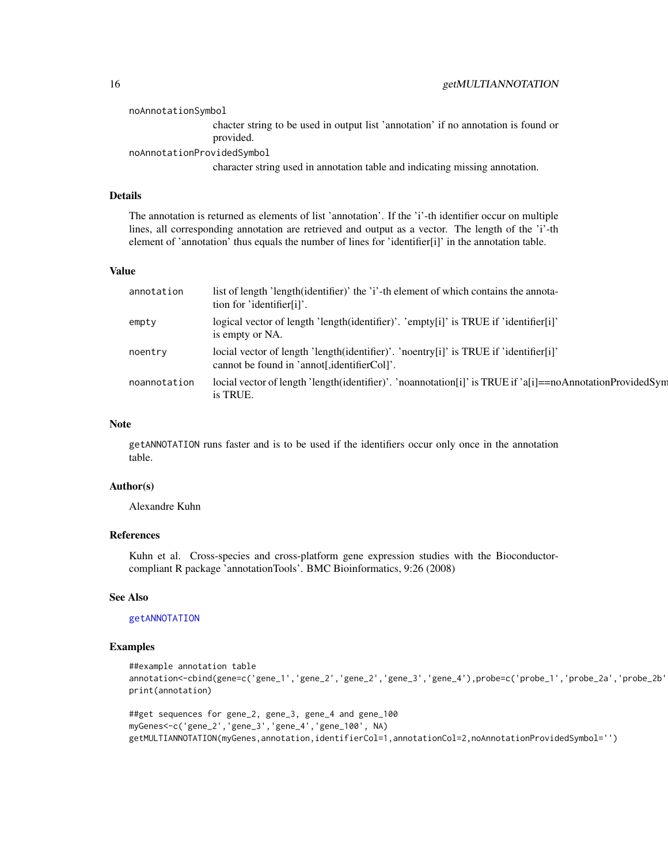<span id="page-15-0"></span>noAnnotationSymbol chacter string to be used in output list 'annotation' if no annotation is found or provided.

noAnnotationProvidedSymbol

character string used in annotation table and indicating missing annotation.

#### Details

The annotation is returned as elements of list 'annotation'. If the 'i'-th identifier occur on multiple lines, all corresponding annotation are retrieved and output as a vector. The length of the 'i'-th element of 'annotation' thus equals the number of lines for 'identifier[i]' in the annotation table.

# Value

| annotation   | list of length 'length(identifier)' the 'i'-th element of which contains the annota-<br>tion for 'identifier[i]'.                     |
|--------------|---------------------------------------------------------------------------------------------------------------------------------------|
| empty        | logical vector of length 'length(identifier)'. 'empty[i]' is TRUE if 'identifier[i]'<br>is empty or NA.                               |
| noentry      | locial vector of length 'length(identifier)'. 'noentry[i]' is TRUE if 'identifier[i]'<br>cannot be found in 'annot[, identifierCol]'. |
| noannotation | locial vector of length 'length(identifier)'. 'noannotation[i]' is TRUE if 'a[i]==noAnnotationProvidedSyn<br>is TRUE.                 |

#### Note

getANNOTATION runs faster and is to be used if the identifiers occur only once in the annotation table.

# Author(s)

Alexandre Kuhn

### References

Kuhn et al. Cross-species and cross-platform gene expression studies with the Bioconductorcompliant R package 'annotationTools'. BMC Bioinformatics, 9:26 (2008)

# See Also

[getANNOTATION](#page-3-1)

# Examples

```
##example annotation table
annotation<-cbind(gene=c('gene_1','gene_2','gene_2','gene_3','gene_4'),probe=c('probe_1','probe_2a','probe_2b'
print(annotation)
```

```
##get sequences for gene_2, gene_3, gene_4 and gene_100
myGenes<-c('gene_2','gene_3','gene_4','gene_100', NA)
getMULTIANNOTATION(myGenes,annotation,identifierCol=1,annotationCol=2,noAnnotationProvidedSymbol='')
```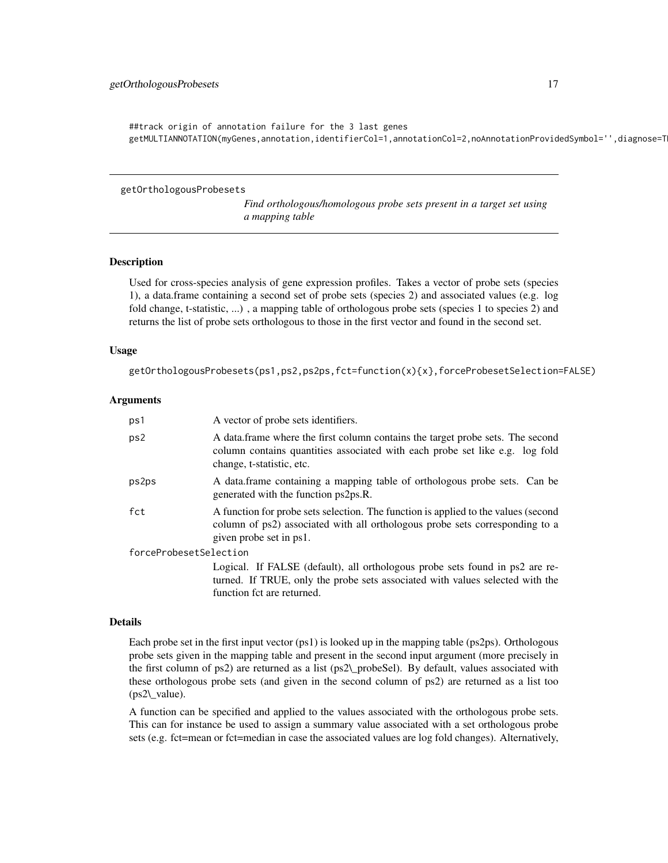<span id="page-16-0"></span>##track origin of annotation failure for the 3 last genes getMULTIANNOTATION(myGenes,annotation,identifierCol=1,annotationCol=2,noAnnotationProvidedSymbol='',diagnose=T

getOrthologousProbesets

*Find orthologous/homologous probe sets present in a target set using a mapping table*

# Description

Used for cross-species analysis of gene expression profiles. Takes a vector of probe sets (species 1), a data.frame containing a second set of probe sets (species 2) and associated values (e.g. log fold change, t-statistic, ...), a mapping table of orthologous probe sets (species 1 to species 2) and returns the list of probe sets orthologous to those in the first vector and found in the second set.

#### Usage

getOrthologousProbesets(ps1,ps2,ps2ps,fct=function(x){x},forceProbesetSelection=FALSE)

# Arguments

| ps1                    | A vector of probe sets identifiers.                                                                                                                                                           |  |
|------------------------|-----------------------------------------------------------------------------------------------------------------------------------------------------------------------------------------------|--|
| ps2                    | A data frame where the first column contains the target probe sets. The second<br>column contains quantities associated with each probe set like e.g. log fold<br>change, t-statistic, etc.   |  |
| ps2ps                  | A data frame containing a mapping table of orthologous probe sets. Can be<br>generated with the function ps2ps.R.                                                                             |  |
| fct                    | A function for probe sets selection. The function is applied to the values (second<br>column of ps2) associated with all orthologous probe sets corresponding to a<br>given probe set in ps1. |  |
| forceProbesetSelection |                                                                                                                                                                                               |  |
|                        | Logical. If FALSE (default), all orthologous probe sets found in ps2 are re-<br>turned. If TRUE, only the probe sets associated with values selected with the<br>function fct are returned.   |  |

#### Details

Each probe set in the first input vector (ps1) is looked up in the mapping table (ps2ps). Orthologous probe sets given in the mapping table and present in the second input argument (more precisely in the first column of ps2) are returned as a list (ps2\\_probeSel). By default, values associated with these orthologous probe sets (and given in the second column of ps2) are returned as a list too (ps2\\_value).

A function can be specified and applied to the values associated with the orthologous probe sets. This can for instance be used to assign a summary value associated with a set orthologous probe sets (e.g. fct=mean or fct=median in case the associated values are log fold changes). Alternatively,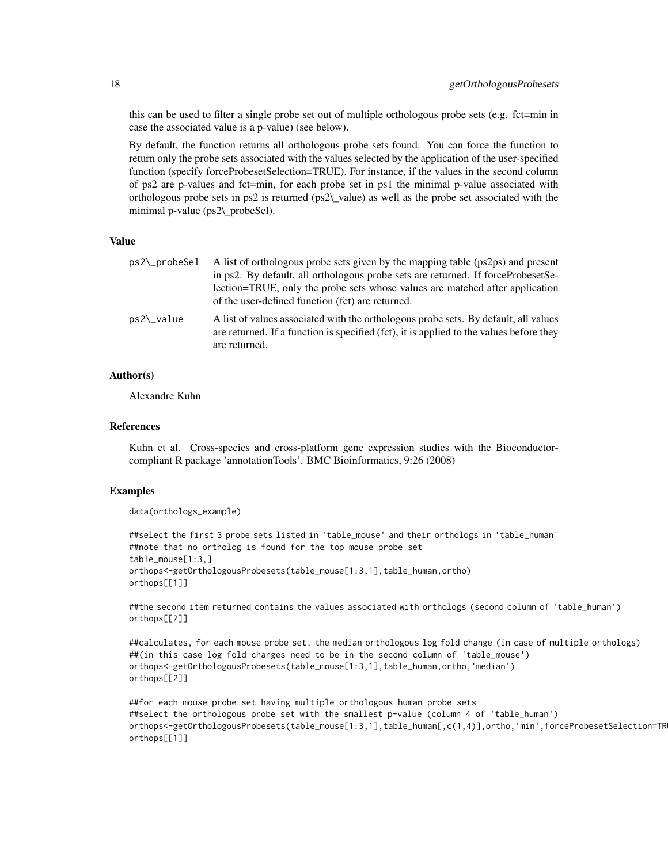this can be used to filter a single probe set out of multiple orthologous probe sets (e.g. fct=min in case the associated value is a p-value) (see below).

By default, the function returns all orthologous probe sets found. You can force the function to return only the probe sets associated with the values selected by the application of the user-specified function (specify forceProbesetSelection=TRUE). For instance, if the values in the second column of ps2 are p-values and fct=min, for each probe set in ps1 the minimal p-value associated with orthologous probe sets in ps2 is returned (ps2\\_value) as well as the probe set associated with the minimal p-value (ps2\\_probeSel).

#### Value

| ps2\_probeSel | A list of orthologous probe sets given by the mapping table (ps2ps) and present<br>in ps2. By default, all orthologous probe sets are returned. If forceProbesetSe-<br>lection=TRUE, only the probe sets whose values are matched after application<br>of the user-defined function (fct) are returned. |
|---------------|---------------------------------------------------------------------------------------------------------------------------------------------------------------------------------------------------------------------------------------------------------------------------------------------------------|
| ps2\_value    | A list of values associated with the orthologous probe sets. By default, all values<br>are returned. If a function is specified (fct), it is applied to the values before they<br>are returned.                                                                                                         |

# Author(s)

Alexandre Kuhn

# References

Kuhn et al. Cross-species and cross-platform gene expression studies with the Bioconductorcompliant R package 'annotationTools'. BMC Bioinformatics, 9:26 (2008)

# Examples

```
data(orthologs_example)
```

```
##select the first 3 probe sets listed in 'table_mouse' and their orthologs in 'table_human'
##note that no ortholog is found for the top mouse probe set
table_mouse[1:3,]
orthops<-getOrthologousProbesets(table_mouse[1:3,1],table_human,ortho)
orthops[[1]]
```
##the second item returned contains the values associated with orthologs (second column of 'table\_human') orthops[[2]]

```
##calculates, for each mouse probe set, the median orthologous log fold change (in case of multiple orthologs)
##(in this case log fold changes need to be in the second column of 'table_mouse')
orthops<-getOrthologousProbesets(table_mouse[1:3,1],table_human,ortho,'median')
orthops[[2]]
```
##for each mouse probe set having multiple orthologous human probe sets ##select the orthologous probe set with the smallest p-value (column 4 of 'table\_human') orthops<-getOrthologousProbesets(table\_mouse[1:3,1],table\_human[,c(1,4)],ortho,'min',forceProbesetSelection=TR orthops[[1]]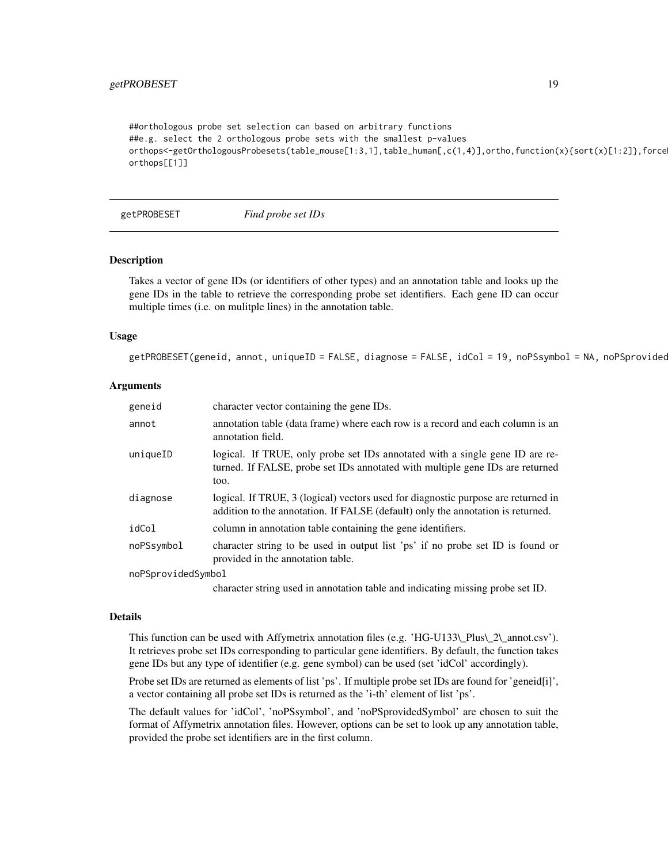# <span id="page-18-0"></span>getPROBESET 19

##orthologous probe set selection can based on arbitrary functions ##e.g. select the 2 orthologous probe sets with the smallest p-values orthops<-getOrthologousProbesets(table\_mouse[1:3,1],table\_human[,c(1,4)],ortho,function(x){sort(x)[1:2]},force orthops[[1]]

getPROBESET *Find probe set IDs*

# **Description**

Takes a vector of gene IDs (or identifiers of other types) and an annotation table and looks up the gene IDs in the table to retrieve the corresponding probe set identifiers. Each gene ID can occur multiple times (i.e. on mulitple lines) in the annotation table.

# Usage

getPROBESET(geneid, annot, uniqueID = FALSE, diagnose = FALSE, idCol = 19, noPSsymbol = NA, noPSprovided

# Arguments

| geneid             | character vector containing the gene IDs.                                                                                                                             |
|--------------------|-----------------------------------------------------------------------------------------------------------------------------------------------------------------------|
| annot              | annotation table (data frame) where each row is a record and each column is an<br>annotation field.                                                                   |
| uniqueID           | logical. If TRUE, only probe set IDs annotated with a single gene ID are re-<br>turned. If FALSE, probe set IDs annotated with multiple gene IDs are returned<br>too. |
| diagnose           | logical. If TRUE, 3 (logical) vectors used for diagnostic purpose are returned in<br>addition to the annotation. If FALSE (default) only the annotation is returned.  |
| idCol              | column in annotation table containing the gene identifiers.                                                                                                           |
| noPSsymbol         | character string to be used in output list 'ps' if no probe set ID is found or<br>provided in the annotation table.                                                   |
| noPSprovidedSymbol |                                                                                                                                                                       |

character string used in annotation table and indicating missing probe set ID.

# Details

This function can be used with Affymetrix annotation files (e.g. 'HG-U133\\_Plus\\_2\\_annot.csv'). It retrieves probe set IDs corresponding to particular gene identifiers. By default, the function takes gene IDs but any type of identifier (e.g. gene symbol) can be used (set 'idCol' accordingly).

Probe set IDs are returned as elements of list 'ps'. If multiple probe set IDs are found for 'geneid[i]', a vector containing all probe set IDs is returned as the 'i-th' element of list 'ps'.

The default values for 'idCol', 'noPSsymbol', and 'noPSprovidedSymbol' are chosen to suit the format of Affymetrix annotation files. However, options can be set to look up any annotation table, provided the probe set identifiers are in the first column.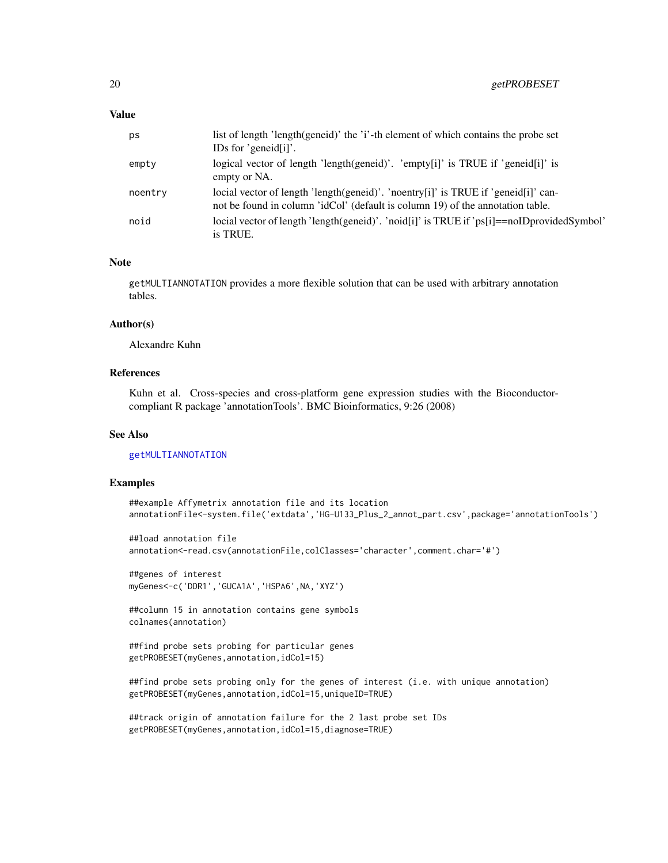# <span id="page-19-0"></span>Value

| рs      | list of length 'length(geneid)' the 'i'-th element of which contains the probe set<br>IDs for 'geneid $[i]'$ .                                                       |
|---------|----------------------------------------------------------------------------------------------------------------------------------------------------------------------|
| empty   | logical vector of length 'length(geneid)'. 'empty[i]' is TRUE if 'geneid[i]' is<br>empty or NA.                                                                      |
| noentry | locial vector of length 'length(geneid)'. 'noentry[i]' is TRUE if 'geneid[i]' can-<br>not be found in column 'idCol' (default is column 19) of the annotation table. |
| noid    | locial vector of length 'length(geneid)'. 'noid[i]' is TRUE if 'ps[i]==noIDprovidedSymbol'<br>is TRUE.                                                               |

# Note

getMULTIANNOTATION provides a more flexible solution that can be used with arbitrary annotation tables.

#### Author(s)

Alexandre Kuhn

# References

Kuhn et al. Cross-species and cross-platform gene expression studies with the Bioconductorcompliant R package 'annotationTools'. BMC Bioinformatics, 9:26 (2008)

# See Also

# [getMULTIANNOTATION](#page-14-1)

# Examples

```
##example Affymetrix annotation file and its location
annotationFile<-system.file('extdata','HG-U133_Plus_2_annot_part.csv',package='annotationTools')
```

```
##load annotation file
annotation<-read.csv(annotationFile,colClasses='character',comment.char='#')
```

```
##genes of interest
myGenes<-c('DDR1','GUCA1A','HSPA6',NA,'XYZ')
```
##column 15 in annotation contains gene symbols colnames(annotation)

```
##find probe sets probing for particular genes
getPROBESET(myGenes,annotation,idCol=15)
```

```
##find probe sets probing only for the genes of interest (i.e. with unique annotation)
getPROBESET(myGenes,annotation,idCol=15,uniqueID=TRUE)
```

```
##track origin of annotation failure for the 2 last probe set IDs
getPROBESET(myGenes,annotation,idCol=15,diagnose=TRUE)
```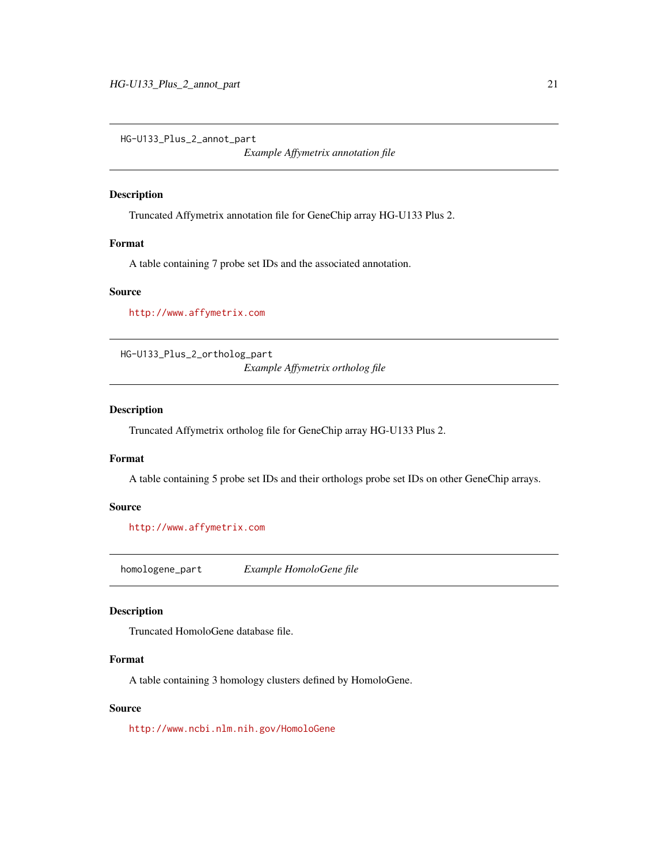<span id="page-20-0"></span>HG-U133\_Plus\_2\_annot\_part

*Example Affymetrix annotation file*

# Description

Truncated Affymetrix annotation file for GeneChip array HG-U133 Plus 2.

# Format

A table containing 7 probe set IDs and the associated annotation.

# Source

<http://www.affymetrix.com>

HG-U133\_Plus\_2\_ortholog\_part *Example Affymetrix ortholog file*

# Description

Truncated Affymetrix ortholog file for GeneChip array HG-U133 Plus 2.

# Format

A table containing 5 probe set IDs and their orthologs probe set IDs on other GeneChip arrays.

# Source

<http://www.affymetrix.com>

homologene\_part *Example HomoloGene file*

# Description

Truncated HomoloGene database file.

# Format

A table containing 3 homology clusters defined by HomoloGene.

# Source

<http://www.ncbi.nlm.nih.gov/HomoloGene>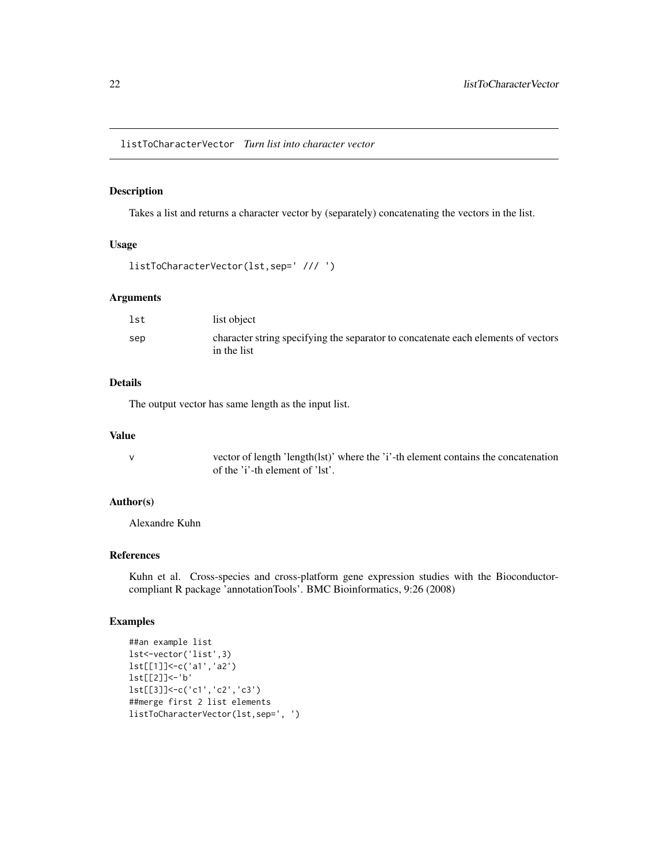<span id="page-21-0"></span>listToCharacterVector *Turn list into character vector*

# Description

Takes a list and returns a character vector by (separately) concatenating the vectors in the list.

# Usage

```
listToCharacterVector(lst,sep=' /// ')
```
#### Arguments

| lst | list object                                                                                      |
|-----|--------------------------------------------------------------------------------------------------|
| sep | character string specifying the separator to concatenate each elements of vectors<br>in the list |

# Details

The output vector has same length as the input list.

#### Value

v vector of length 'length(lst)' where the 'i'-th element contains the concatenation of the 'i'-th element of 'lst'.

# Author(s)

Alexandre Kuhn

# References

Kuhn et al. Cross-species and cross-platform gene expression studies with the Bioconductorcompliant R package 'annotationTools'. BMC Bioinformatics, 9:26 (2008)

# Examples

```
##an example list
lst<-vector('list',3)
lst[[1]]<-c('a1','a2')
lst[[2]]<-'b'
lst[[3]]<-c('c1','c2','c3')
##merge first 2 list elements
listToCharacterVector(lst,sep=', ')
```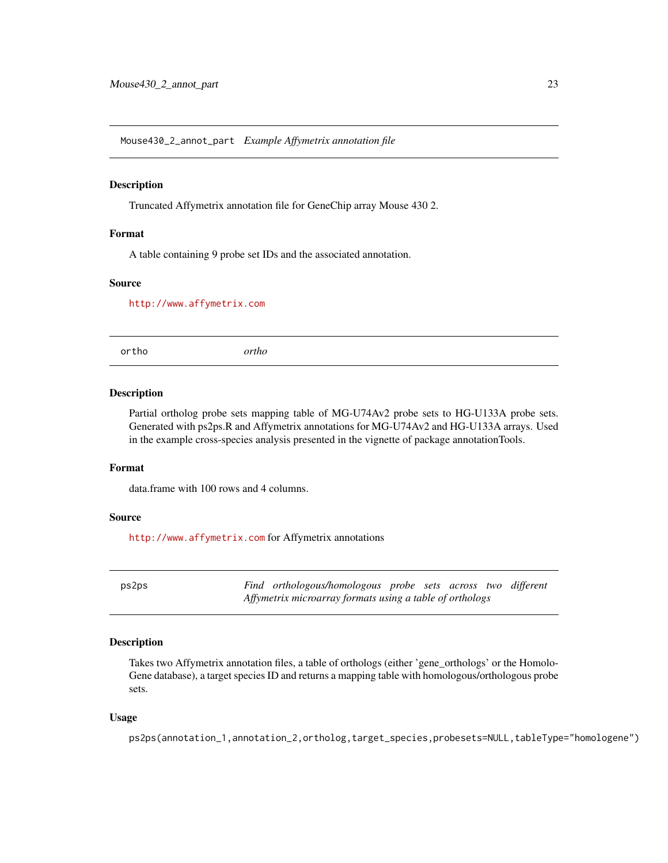<span id="page-22-0"></span>Mouse430\_2\_annot\_part *Example Affymetrix annotation file*

# Description

Truncated Affymetrix annotation file for GeneChip array Mouse 430 2.

# Format

A table containing 9 probe set IDs and the associated annotation.

# Source

<http://www.affymetrix.com>

ortho *ortho*

#### Description

Partial ortholog probe sets mapping table of MG-U74Av2 probe sets to HG-U133A probe sets. Generated with ps2ps.R and Affymetrix annotations for MG-U74Av2 and HG-U133A arrays. Used in the example cross-species analysis presented in the vignette of package annotationTools.

# Format

data.frame with 100 rows and 4 columns.

#### Source

<http://www.affymetrix.com> for Affymetrix annotations

ps2ps *Find orthologous/homologous probe sets across two different Affymetrix microarray formats using a table of orthologs*

# Description

Takes two Affymetrix annotation files, a table of orthologs (either 'gene\_orthologs' or the Homolo-Gene database), a target species ID and returns a mapping table with homologous/orthologous probe sets.

# Usage

ps2ps(annotation\_1,annotation\_2,ortholog,target\_species,probesets=NULL,tableType="homologene")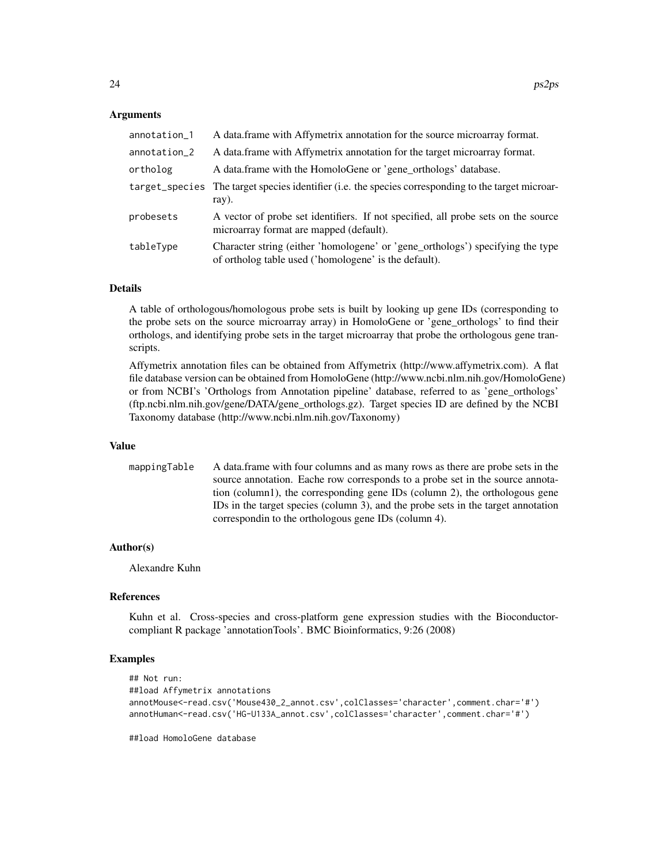# Arguments

| annotation_1 | A data frame with Affymetrix annotation for the source microarray format.                                                               |
|--------------|-----------------------------------------------------------------------------------------------------------------------------------------|
| annotation_2 | A data frame with Affymetrix annotation for the target microarray format.                                                               |
| ortholog     | A data.frame with the HomoloGene or 'gene_orthologs' database.                                                                          |
|              | target_species The target species identifier (i.e. the species corresponding to the target microar-<br>ray).                            |
| probesets    | A vector of probe set identifiers. If not specified, all probe sets on the source<br>microarray format are mapped (default).            |
| tableType    | Character string (either 'homologene' or 'gene_orthologs') specifying the type<br>of ortholog table used ('homologene' is the default). |

# Details

A table of orthologous/homologous probe sets is built by looking up gene IDs (corresponding to the probe sets on the source microarray array) in HomoloGene or 'gene\_orthologs' to find their orthologs, and identifying probe sets in the target microarray that probe the orthologous gene transcripts.

Affymetrix annotation files can be obtained from Affymetrix (http://www.affymetrix.com). A flat file database version can be obtained from HomoloGene (http://www.ncbi.nlm.nih.gov/HomoloGene) or from NCBI's 'Orthologs from Annotation pipeline' database, referred to as 'gene\_orthologs' (ftp.ncbi.nlm.nih.gov/gene/DATA/gene\_orthologs.gz). Target species ID are defined by the NCBI Taxonomy database (http://www.ncbi.nlm.nih.gov/Taxonomy)

#### Value

mappingTable A data.frame with four columns and as many rows as there are probe sets in the source annotation. Eache row corresponds to a probe set in the source annotation (column1), the corresponding gene IDs (column 2), the orthologous gene IDs in the target species (column 3), and the probe sets in the target annotation correspondin to the orthologous gene IDs (column 4).

# Author(s)

Alexandre Kuhn

#### **References**

Kuhn et al. Cross-species and cross-platform gene expression studies with the Bioconductorcompliant R package 'annotationTools'. BMC Bioinformatics, 9:26 (2008)

# Examples

```
## Not run:
##load Affymetrix annotations
annotMouse<-read.csv('Mouse430_2_annot.csv',colClasses='character',comment.char='#')
annotHuman<-read.csv('HG-U133A_annot.csv',colClasses='character',comment.char='#')
```
##load HomoloGene database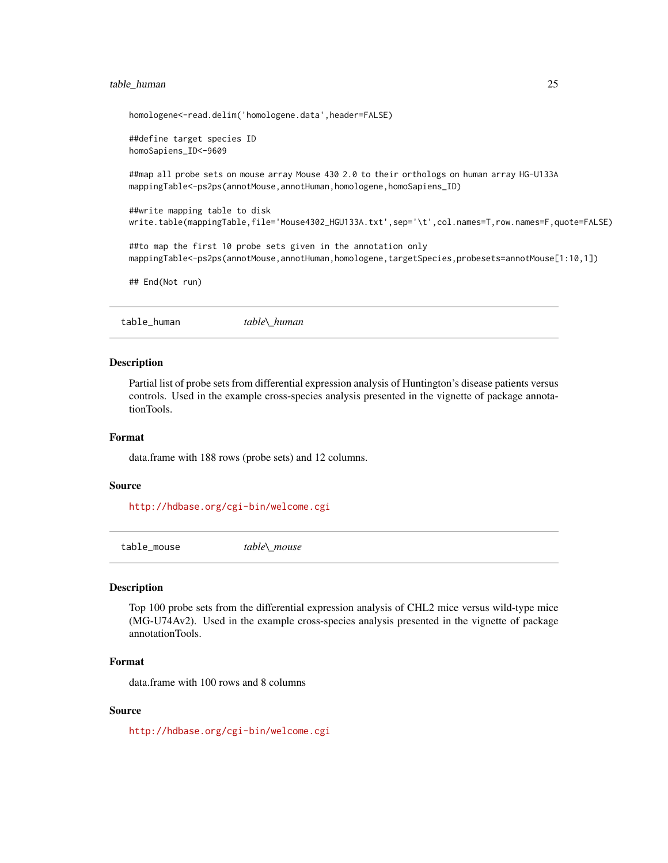# <span id="page-24-0"></span>table\_human 25

```
homologene<-read.delim('homologene.data',header=FALSE)
##define target species ID
homoSapiens_ID<-9609
##map all probe sets on mouse array Mouse 430 2.0 to their orthologs on human array HG-U133A
mappingTable<-ps2ps(annotMouse,annotHuman,homologene,homoSapiens_ID)
##write mapping table to disk
write.table(mappingTable,file='Mouse4302_HGU133A.txt',sep='\t',col.names=T,row.names=F,quote=FALSE)
##to map the first 10 probe sets given in the annotation only
mappingTable<-ps2ps(annotMouse,annotHuman,homologene,targetSpecies,probesets=annotMouse[1:10,1])
## End(Not run)
```
#### **Description**

Partial list of probe sets from differential expression analysis of Huntington's disease patients versus controls. Used in the example cross-species analysis presented in the vignette of package annotationTools.

# Format

data.frame with 188 rows (probe sets) and 12 columns.

#### Source

<http://hdbase.org/cgi-bin/welcome.cgi>

table\_mouse *table\\_mouse*

table\_human *table\\_human*

# **Description**

Top 100 probe sets from the differential expression analysis of CHL2 mice versus wild-type mice (MG-U74Av2). Used in the example cross-species analysis presented in the vignette of package annotationTools.

#### Format

data.frame with 100 rows and 8 columns

# Source

<http://hdbase.org/cgi-bin/welcome.cgi>